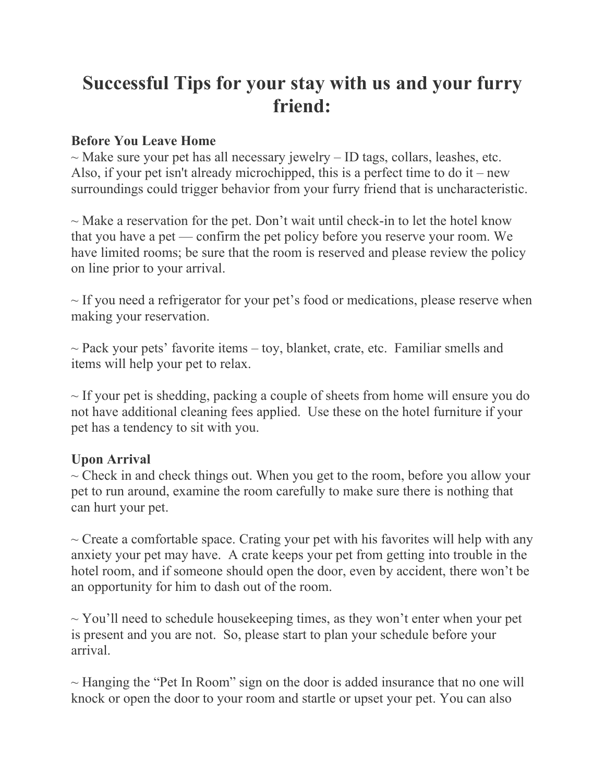## **Successful Tips for your stay with us and your furry friend:**

## **Before You Leave Home**

 $\sim$  Make sure your pet has all necessary jewelry – ID tags, collars, leashes, etc. Also, if your pet isn't already microchipped, this is a perfect time to do it – new surroundings could trigger behavior from your furry friend that is uncharacteristic.

 $\sim$  Make a reservation for the pet. Don't wait until check-in to let the hotel know that you have a pet — confirm the pet policy before you reserve your room. We have limited rooms; be sure that the room is reserved and please review the policy on line prior to your arrival.

 $\sim$  If you need a refrigerator for your pet's food or medications, please reserve when making your reservation.

 $\sim$  Pack your pets' favorite items – toy, blanket, crate, etc. Familiar smells and items will help your pet to relax.

 $\sim$  If your pet is shedding, packing a couple of sheets from home will ensure you do not have additional cleaning fees applied. Use these on the hotel furniture if your pet has a tendency to sit with you.

## **Upon Arrival**

 $\sim$  Check in and check things out. When you get to the room, before you allow your pet to run around, examine the room carefully to make sure there is nothing that can hurt your pet.

 $\sim$  Create a comfortable space. Crating your pet with his favorites will help with any anxiety your pet may have. A crate keeps your pet from getting into trouble in the hotel room, and if someone should open the door, even by accident, there won't be an opportunity for him to dash out of the room.

 $\sim$  You'll need to schedule housekeeping times, as they won't enter when your pet is present and you are not. So, please start to plan your schedule before your arrival.

 $\sim$  Hanging the "Pet In Room" sign on the door is added insurance that no one will knock or open the door to your room and startle or upset your pet. You can also